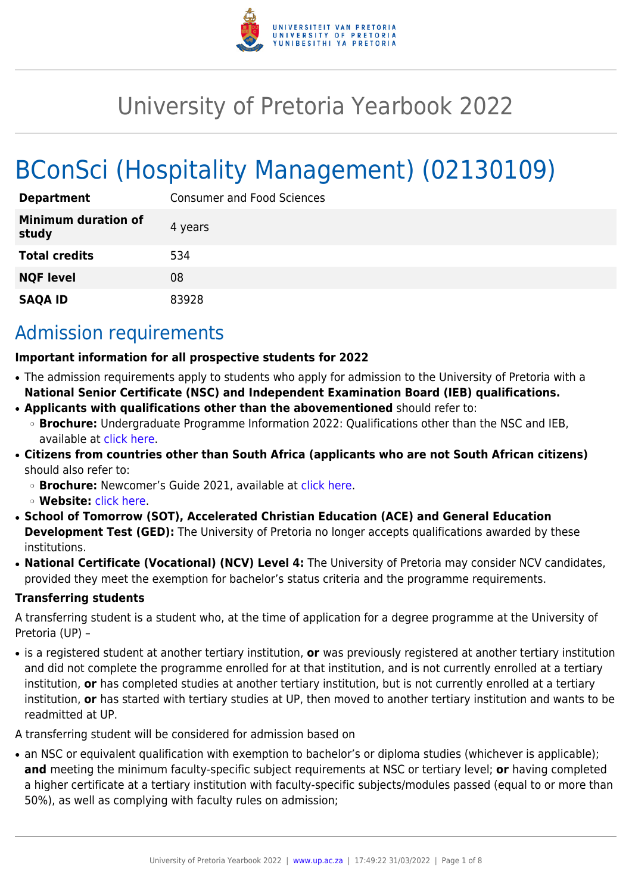

# University of Pretoria Yearbook 2022

# BConSci (Hospitality Management) (02130109)

| <b>Department</b>                   | <b>Consumer and Food Sciences</b> |  |
|-------------------------------------|-----------------------------------|--|
| <b>Minimum duration of</b><br>study | 4 years                           |  |
| <b>Total credits</b>                | 534                               |  |
| <b>NQF level</b>                    | 08                                |  |
| <b>SAQA ID</b>                      | 83928                             |  |

## Admission requirements

#### **Important information for all prospective students for 2022**

- The admission requirements apply to students who apply for admission to the University of Pretoria with a **National Senior Certificate (NSC) and Independent Examination Board (IEB) qualifications.**
- **Applicants with qualifications other than the abovementioned** should refer to:
- ❍ **Brochure:** Undergraduate Programme Information 2022: Qualifications other than the NSC and IEB, available at [click here.](https://www.up.ac.za/students/article/2749263/admission-information)
- **Citizens from countries other than South Africa (applicants who are not South African citizens)** should also refer to:
	- ❍ **Brochure:** Newcomer's Guide 2021, available at [click here.](https://www.up.ac.za/students/article/2749263/admission-information)
	- ❍ **Website:** [click here](http://www.up.ac.za/international-cooperation-division).
- **School of Tomorrow (SOT), Accelerated Christian Education (ACE) and General Education Development Test (GED):** The University of Pretoria no longer accepts qualifications awarded by these institutions.
- **National Certificate (Vocational) (NCV) Level 4:** The University of Pretoria may consider NCV candidates, provided they meet the exemption for bachelor's status criteria and the programme requirements.

#### **Transferring students**

A transferring student is a student who, at the time of application for a degree programme at the University of Pretoria (UP) –

● is a registered student at another tertiary institution, **or** was previously registered at another tertiary institution and did not complete the programme enrolled for at that institution, and is not currently enrolled at a tertiary institution, **or** has completed studies at another tertiary institution, but is not currently enrolled at a tertiary institution, **or** has started with tertiary studies at UP, then moved to another tertiary institution and wants to be readmitted at UP.

A transferring student will be considered for admission based on

• an NSC or equivalent qualification with exemption to bachelor's or diploma studies (whichever is applicable); **and** meeting the minimum faculty-specific subject requirements at NSC or tertiary level; **or** having completed a higher certificate at a tertiary institution with faculty-specific subjects/modules passed (equal to or more than 50%), as well as complying with faculty rules on admission;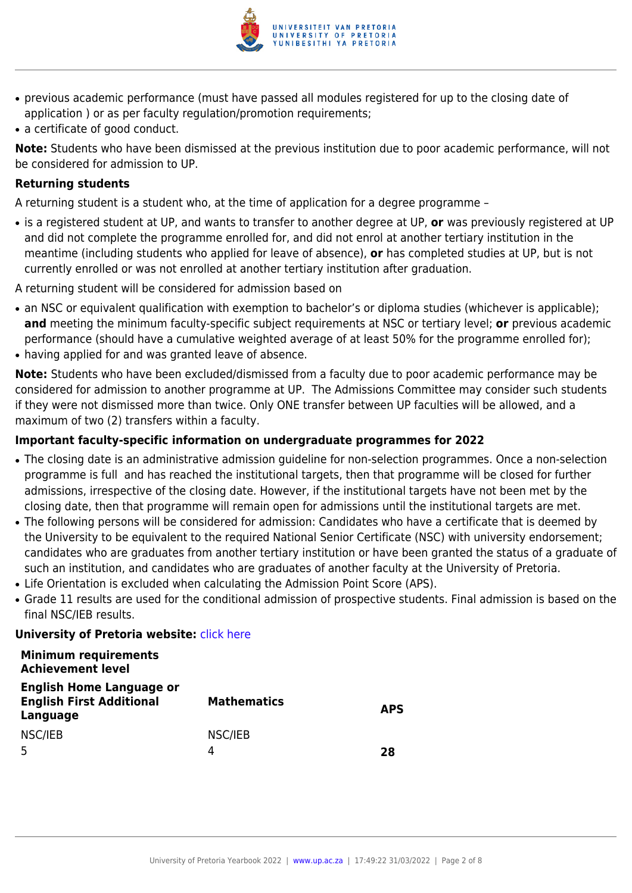

- previous academic performance (must have passed all modules registered for up to the closing date of application ) or as per faculty regulation/promotion requirements;
- a certificate of good conduct.

**Note:** Students who have been dismissed at the previous institution due to poor academic performance, will not be considered for admission to UP.

#### **Returning students**

A returning student is a student who, at the time of application for a degree programme –

● is a registered student at UP, and wants to transfer to another degree at UP, **or** was previously registered at UP and did not complete the programme enrolled for, and did not enrol at another tertiary institution in the meantime (including students who applied for leave of absence), **or** has completed studies at UP, but is not currently enrolled or was not enrolled at another tertiary institution after graduation.

A returning student will be considered for admission based on

- an NSC or equivalent qualification with exemption to bachelor's or diploma studies (whichever is applicable); **and** meeting the minimum faculty-specific subject requirements at NSC or tertiary level; **or** previous academic performance (should have a cumulative weighted average of at least 50% for the programme enrolled for);
- having applied for and was granted leave of absence.

**Note:** Students who have been excluded/dismissed from a faculty due to poor academic performance may be considered for admission to another programme at UP. The Admissions Committee may consider such students if they were not dismissed more than twice. Only ONE transfer between UP faculties will be allowed, and a maximum of two (2) transfers within a faculty.

#### **Important faculty-specific information on undergraduate programmes for 2022**

- The closing date is an administrative admission guideline for non-selection programmes. Once a non-selection programme is full and has reached the institutional targets, then that programme will be closed for further admissions, irrespective of the closing date. However, if the institutional targets have not been met by the closing date, then that programme will remain open for admissions until the institutional targets are met.
- The following persons will be considered for admission: Candidates who have a certificate that is deemed by the University to be equivalent to the required National Senior Certificate (NSC) with university endorsement; candidates who are graduates from another tertiary institution or have been granted the status of a graduate of such an institution, and candidates who are graduates of another faculty at the University of Pretoria.
- Life Orientation is excluded when calculating the Admission Point Score (APS).
- Grade 11 results are used for the conditional admission of prospective students. Final admission is based on the final NSC/IEB results.

#### **University of Pretoria website: [click here](http://www.up.ac.za/nas)**

#### **Minimum requirements Achievement level**

| <b>English Home Language or</b><br><b>English First Additional</b><br>Language | <b>Mathematics</b> | <b>APS</b> |
|--------------------------------------------------------------------------------|--------------------|------------|
| NSC/IEB                                                                        | NSC/IEB            |            |
|                                                                                |                    | 28         |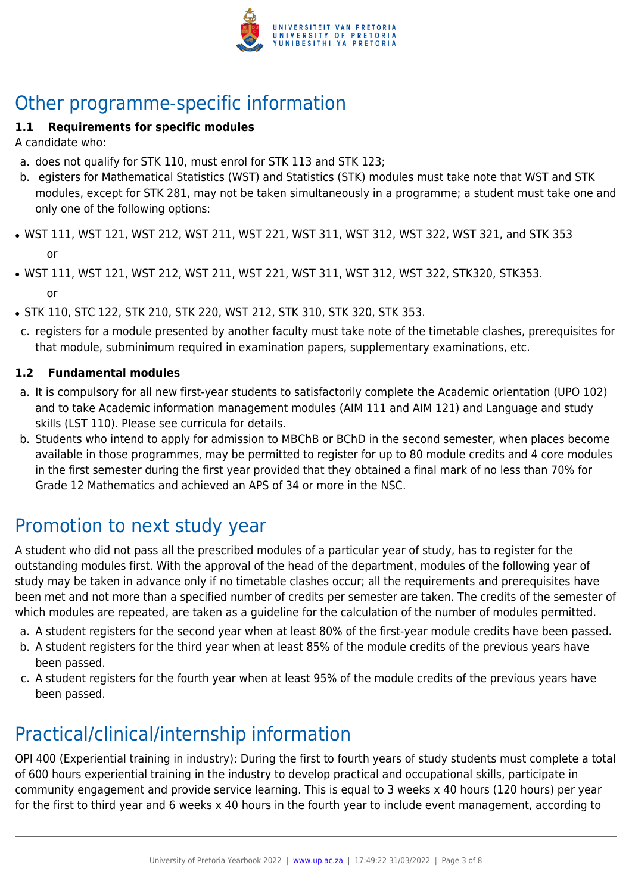

# Other programme-specific information

#### **1.1 Requirements for specific modules**

A candidate who:

- a. does not qualify for STK 110, must enrol for STK 113 and STK 123;
- b. egisters for Mathematical Statistics (WST) and Statistics (STK) modules must take note that WST and STK modules, except for STK 281, may not be taken simultaneously in a programme; a student must take one and only one of the following options:
- WST 111, WST 121, WST 212, WST 211, WST 221, WST 311, WST 312, WST 322, WST 321, and STK 353 or
- WST 111, WST 121, WST 212, WST 211, WST 221, WST 311, WST 312, WST 322, STK320, STK353. or
- STK 110, STC 122, STK 210, STK 220, WST 212, STK 310, STK 320, STK 353.
- c. registers for a module presented by another faculty must take note of the timetable clashes, prerequisites for that module, subminimum required in examination papers, supplementary examinations, etc.

#### **1.2 Fundamental modules**

- a. It is compulsory for all new first-year students to satisfactorily complete the Academic orientation (UPO 102) and to take Academic information management modules (AIM 111 and AIM 121) and Language and study skills (LST 110). Please see curricula for details.
- b. Students who intend to apply for admission to MBChB or BChD in the second semester, when places become available in those programmes, may be permitted to register for up to 80 module credits and 4 core modules in the first semester during the first year provided that they obtained a final mark of no less than 70% for Grade 12 Mathematics and achieved an APS of 34 or more in the NSC.

# Promotion to next study year

A student who did not pass all the prescribed modules of a particular year of study, has to register for the outstanding modules first. With the approval of the head of the department, modules of the following year of study may be taken in advance only if no timetable clashes occur; all the requirements and prerequisites have been met and not more than a specified number of credits per semester are taken. The credits of the semester of which modules are repeated, are taken as a guideline for the calculation of the number of modules permitted.

- a. A student registers for the second year when at least 80% of the first-year module credits have been passed.
- b. A student registers for the third year when at least 85% of the module credits of the previous years have been passed.
- c. A student registers for the fourth year when at least 95% of the module credits of the previous years have been passed.

# Practical/clinical/internship information

OPI 400 (Experiential training in industry): During the first to fourth years of study students must complete a total of 600 hours experiential training in the industry to develop practical and occupational skills, participate in community engagement and provide service learning. This is equal to 3 weeks x 40 hours (120 hours) per year for the first to third year and 6 weeks x 40 hours in the fourth year to include event management, according to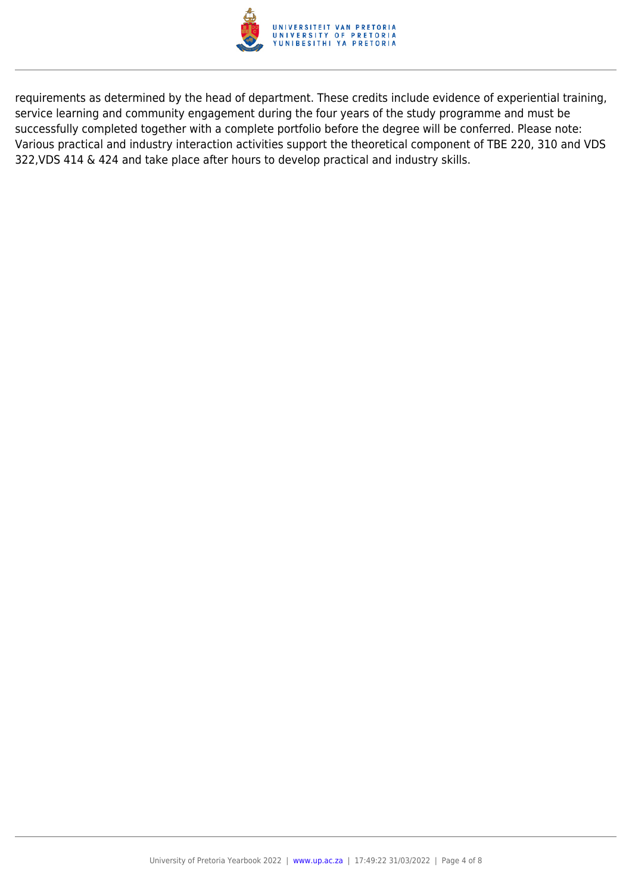

requirements as determined by the head of department. These credits include evidence of experiential training, service learning and community engagement during the four years of the study programme and must be successfully completed together with a complete portfolio before the degree will be conferred. Please note: Various practical and industry interaction activities support the theoretical component of TBE 220, 310 and VDS 322,VDS 414 & 424 and take place after hours to develop practical and industry skills.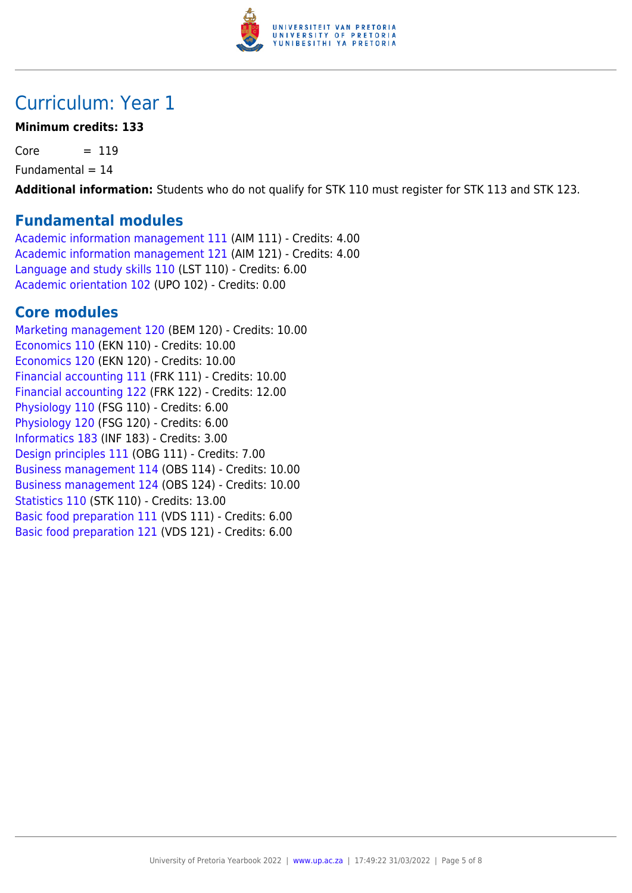

## Curriculum: Year 1

#### **Minimum credits: 133**

 $Core = 119$ 

 $Fundamental = 14$ 

**Additional information:** Students who do not qualify for STK 110 must register for STK 113 and STK 123.

### **Fundamental modules**

[Academic information management 111](https://www.up.ac.za/yearbooks/2022/modules/view/AIM 111) (AIM 111) - Credits: 4.00 [Academic information management 121](https://www.up.ac.za/yearbooks/2022/modules/view/AIM 121) (AIM 121) - Credits: 4.00 [Language and study skills 110](https://www.up.ac.za/yearbooks/2022/modules/view/LST 110) (LST 110) - Credits: 6.00 [Academic orientation 102](https://www.up.ac.za/yearbooks/2022/modules/view/UPO 102) (UPO 102) - Credits: 0.00

### **Core modules**

[Marketing management 120](https://www.up.ac.za/yearbooks/2022/modules/view/BEM 120) (BEM 120) - Credits: 10.00 [Economics 110](https://www.up.ac.za/yearbooks/2022/modules/view/EKN 110) (EKN 110) - Credits: 10.00 [Economics 120](https://www.up.ac.za/yearbooks/2022/modules/view/EKN 120) (EKN 120) - Credits: 10.00 [Financial accounting 111](https://www.up.ac.za/yearbooks/2022/modules/view/FRK 111) (FRK 111) - Credits: 10.00 [Financial accounting 122](https://www.up.ac.za/yearbooks/2022/modules/view/FRK 122) (FRK 122) - Credits: 12.00 [Physiology 110](https://www.up.ac.za/yearbooks/2022/modules/view/FSG 110) (FSG 110) - Credits: 6.00 [Physiology 120](https://www.up.ac.za/yearbooks/2022/modules/view/FSG 120) (FSG 120) - Credits: 6.00 [Informatics 183](https://www.up.ac.za/yearbooks/2022/modules/view/INF 183) (INF 183) - Credits: 3.00 [Design principles 111](https://www.up.ac.za/yearbooks/2022/modules/view/OBG 111) (OBG 111) - Credits: 7.00 [Business management 114](https://www.up.ac.za/yearbooks/2022/modules/view/OBS 114) (OBS 114) - Credits: 10.00 [Business management 124](https://www.up.ac.za/yearbooks/2022/modules/view/OBS 124) (OBS 124) - Credits: 10.00 [Statistics 110](https://www.up.ac.za/yearbooks/2022/modules/view/STK 110) (STK 110) - Credits: 13.00 [Basic food preparation 111](https://www.up.ac.za/yearbooks/2022/modules/view/VDS 111) (VDS 111) - Credits: 6.00 [Basic food preparation 121](https://www.up.ac.za/yearbooks/2022/modules/view/VDS 121) (VDS 121) - Credits: 6.00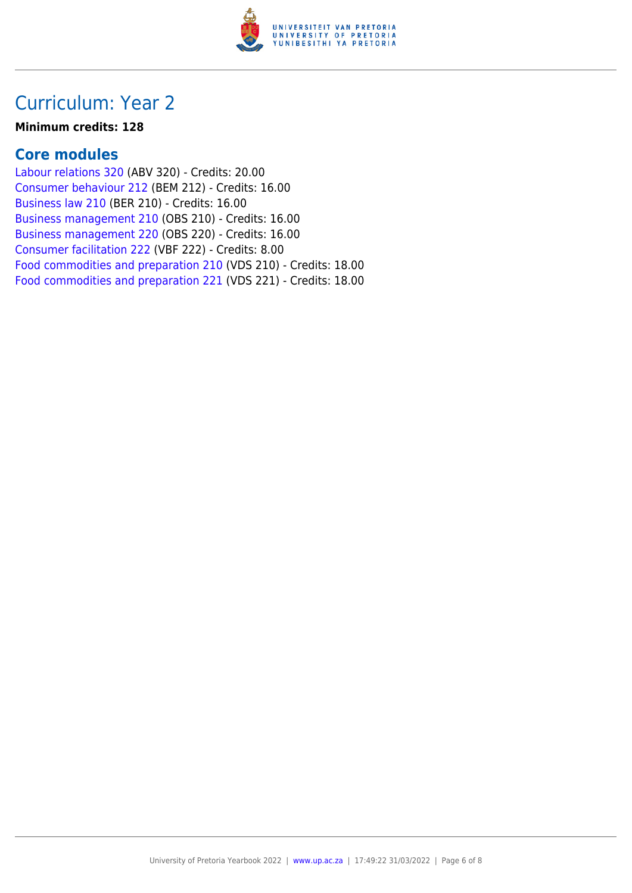

### Curriculum: Year 2

#### **Minimum credits: 128**

### **Core modules**

[Labour relations 320](https://www.up.ac.za/yearbooks/2022/modules/view/ABV 320) (ABV 320) - Credits: 20.00 [Consumer behaviour 212](https://www.up.ac.za/yearbooks/2022/modules/view/BEM 212) (BEM 212) - Credits: 16.00 [Business law 210](https://www.up.ac.za/yearbooks/2022/modules/view/BER 210) (BER 210) - Credits: 16.00 [Business management 210](https://www.up.ac.za/yearbooks/2022/modules/view/OBS 210) (OBS 210) - Credits: 16.00 [Business management 220](https://www.up.ac.za/yearbooks/2022/modules/view/OBS 220) (OBS 220) - Credits: 16.00 [Consumer facilitation 222](https://www.up.ac.za/yearbooks/2022/modules/view/VBF 222) (VBF 222) - Credits: 8.00 [Food commodities and preparation 210](https://www.up.ac.za/yearbooks/2022/modules/view/VDS 210) (VDS 210) - Credits: 18.00 [Food commodities and preparation 221](https://www.up.ac.za/yearbooks/2022/modules/view/VDS 221) (VDS 221) - Credits: 18.00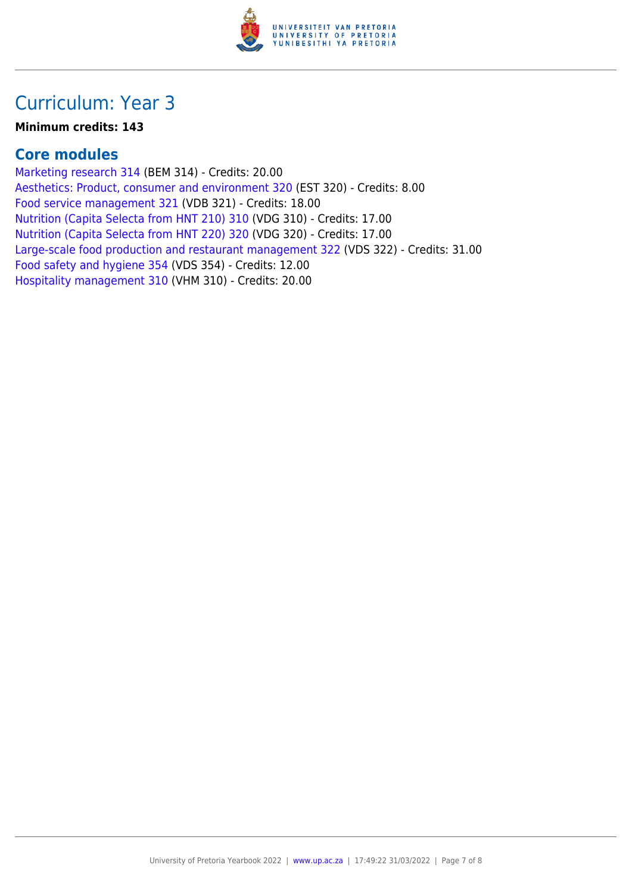

### Curriculum: Year 3

#### **Minimum credits: 143**

### **Core modules**

[Marketing research 314](https://www.up.ac.za/yearbooks/2022/modules/view/BEM 314) (BEM 314) - Credits: 20.00 [Aesthetics: Product, consumer and environment 320](https://www.up.ac.za/yearbooks/2022/modules/view/EST 320) (EST 320) - Credits: 8.00 [Food service management 321](https://www.up.ac.za/yearbooks/2022/modules/view/VDB 321) (VDB 321) - Credits: 18.00 [Nutrition \(Capita Selecta from HNT 210\) 310](https://www.up.ac.za/yearbooks/2022/modules/view/VDG 310) (VDG 310) - Credits: 17.00 [Nutrition \(Capita Selecta from HNT 220\) 320](https://www.up.ac.za/yearbooks/2022/modules/view/VDG 320) (VDG 320) - Credits: 17.00 [Large-scale food production and restaurant management 322](https://www.up.ac.za/yearbooks/2022/modules/view/VDS 322) (VDS 322) - Credits: 31.00 [Food safety and hygiene 354](https://www.up.ac.za/yearbooks/2022/modules/view/VDS 354) (VDS 354) - Credits: 12.00 [Hospitality management 310](https://www.up.ac.za/yearbooks/2022/modules/view/VHM 310) (VHM 310) - Credits: 20.00